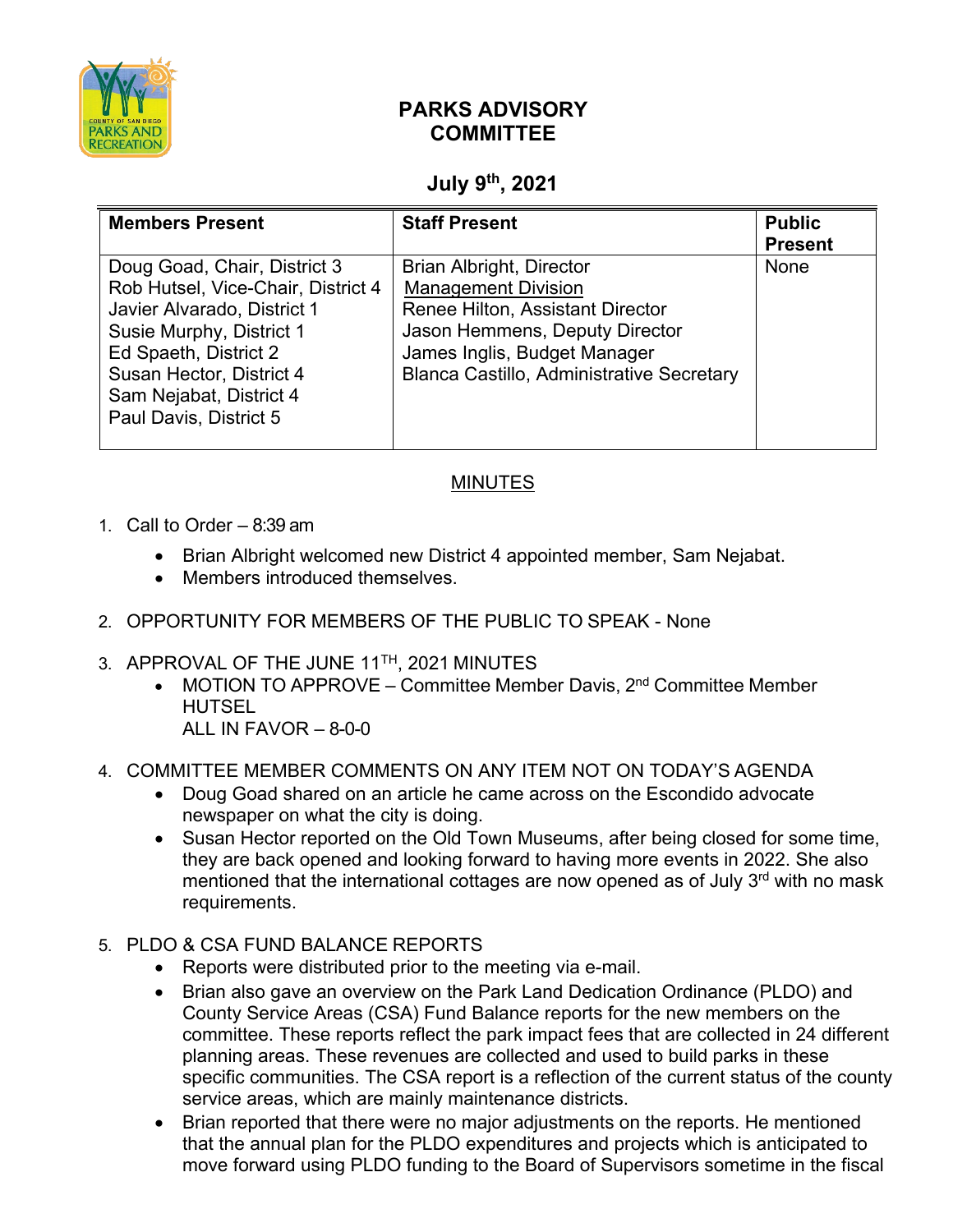

## **PARKS ADVISORY COMMITTEE**

## **July 9th, 2021**

| <b>Members Present</b>                                                                                                                                                                                                                  | <b>Staff Present</b>                                                                                                                                                                                                           | <b>Public</b><br><b>Present</b> |
|-----------------------------------------------------------------------------------------------------------------------------------------------------------------------------------------------------------------------------------------|--------------------------------------------------------------------------------------------------------------------------------------------------------------------------------------------------------------------------------|---------------------------------|
| Doug Goad, Chair, District 3<br>Rob Hutsel, Vice-Chair, District 4<br>Javier Alvarado, District 1<br>Susie Murphy, District 1<br>Ed Spaeth, District 2<br>Susan Hector, District 4<br>Sam Nejabat, District 4<br>Paul Davis, District 5 | <b>Brian Albright, Director</b><br><b>Management Division</b><br><b>Renee Hilton, Assistant Director</b><br>Jason Hemmens, Deputy Director<br>James Inglis, Budget Manager<br><b>Blanca Castillo, Administrative Secretary</b> | None                            |

## MINUTES

- 1. Call to Order 8:39 am
	- Brian Albright welcomed new District 4 appointed member, Sam Nejabat.
	- Members introduced themselves.
- 2. OPPORTUNITY FOR MEMBERS OF THE PUBLIC TO SPEAK None
- 3. APPROVAL OF THE JUNE 11<sup>TH</sup>, 2021 MINUTES
	- MOTION TO APPROVE Committee Member Davis,  $2<sup>nd</sup>$  Committee Member HUTSEL
		- ALL IN FAVOR 8-0-0
- 4. COMMITTEE MEMBER COMMENTS ON ANY ITEM NOT ON TODAY'S AGENDA
	- Doug Goad shared on an article he came across on the Escondido advocate newspaper on what the city is doing.
	- Susan Hector reported on the Old Town Museums, after being closed for some time, they are back opened and looking forward to having more events in 2022. She also mentioned that the international cottages are now opened as of July  $3<sup>rd</sup>$  with no mask requirements.
- 5. PLDO & CSA FUND BALANCE REPORTS
	- Reports were distributed prior to the meeting via e-mail.
	- Brian also gave an overview on the Park Land Dedication Ordinance (PLDO) and County Service Areas (CSA) Fund Balance reports for the new members on the committee. These reports reflect the park impact fees that are collected in 24 different planning areas. These revenues are collected and used to build parks in these specific communities. The CSA report is a reflection of the current status of the county service areas, which are mainly maintenance districts.
	- Brian reported that there were no major adjustments on the reports. He mentioned that the annual plan for the PLDO expenditures and projects which is anticipated to move forward using PLDO funding to the Board of Supervisors sometime in the fiscal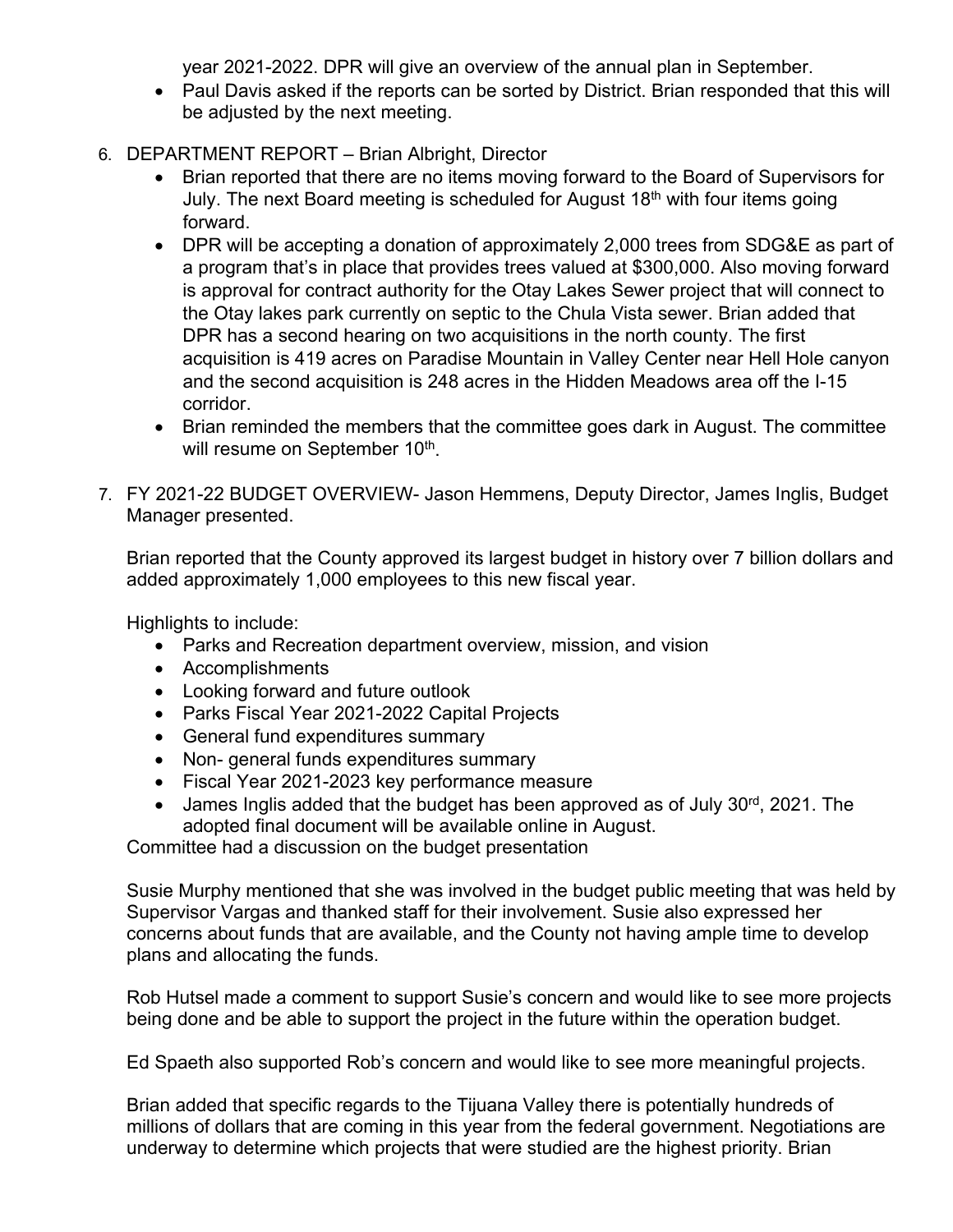year 2021-2022. DPR will give an overview of the annual plan in September.

- Paul Davis asked if the reports can be sorted by District. Brian responded that this will be adjusted by the next meeting.
- 6. DEPARTMENT REPORT Brian Albright, Director
	- Brian reported that there are no items moving forward to the Board of Supervisors for July. The next Board meeting is scheduled for August  $18<sup>th</sup>$  with four items going forward.
	- DPR will be accepting a donation of approximately 2,000 trees from SDG&E as part of a program that's in place that provides trees valued at \$300,000. Also moving forward is approval for contract authority for the Otay Lakes Sewer project that will connect to the Otay lakes park currently on septic to the Chula Vista sewer. Brian added that DPR has a second hearing on two acquisitions in the north county. The first acquisition is 419 acres on Paradise Mountain in Valley Center near Hell Hole canyon and the second acquisition is 248 acres in the Hidden Meadows area off the I-15 corridor.
	- Brian reminded the members that the committee goes dark in August. The committee will resume on September 10<sup>th</sup>.
- 7. FY 2021-22 BUDGET OVERVIEW- Jason Hemmens, Deputy Director, James Inglis, Budget Manager presented.

Brian reported that the County approved its largest budget in history over 7 billion dollars and added approximately 1,000 employees to this new fiscal year.

Highlights to include:

- Parks and Recreation department overview, mission, and vision
- Accomplishments
- Looking forward and future outlook
- Parks Fiscal Year 2021-2022 Capital Projects
- General fund expenditures summary
- Non- general funds expenditures summary
- Fiscal Year 2021-2023 key performance measure
- James Inglis added that the budget has been approved as of July  $30<sup>rd</sup>$ , 2021. The adopted final document will be available online in August.

Committee had a discussion on the budget presentation

Susie Murphy mentioned that she was involved in the budget public meeting that was held by Supervisor Vargas and thanked staff for their involvement. Susie also expressed her concerns about funds that are available, and the County not having ample time to develop plans and allocating the funds.

Rob Hutsel made a comment to support Susie's concern and would like to see more projects being done and be able to support the project in the future within the operation budget.

Ed Spaeth also supported Rob's concern and would like to see more meaningful projects.

Brian added that specific regards to the Tijuana Valley there is potentially hundreds of millions of dollars that are coming in this year from the federal government. Negotiations are underway to determine which projects that were studied are the highest priority. Brian